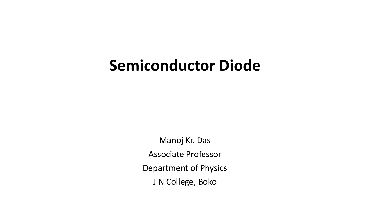# **Semiconductor Diode**

Manoj Kr. Das Associate Professor Department of Physics J N College, Boko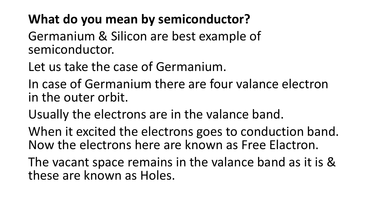### **What do you mean by semiconductor?**

Germanium & Silicon are best example of semiconductor.

Let us take the case of Germanium.

In case of Germanium there are four valance electron in the outer orbit.

Usually the electrons are in the valance band.

When it excited the electrons goes to conduction band. Now the electrons here are known as Free Elactron.

The vacant space remains in the valance band as it is & these are known as Holes.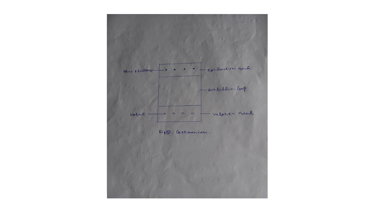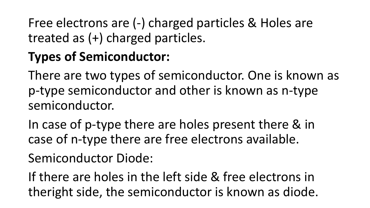Free electrons are (-) charged particles & Holes are treated as (+) charged particles.

## **Types of Semiconductor:**

There are two types of semiconductor. One is known as p-type semiconductor and other is known as n-type semiconductor.

In case of p-type there are holes present there & in case of n-type there are free electrons available.

Semiconductor Diode:

If there are holes in the left side & free electrons in theright side, the semiconductor is known as diode.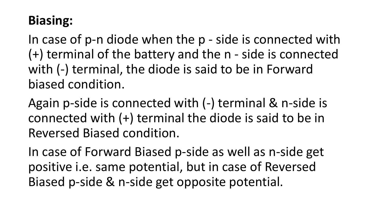## **Biasing:**

In case of p-n diode when the p - side is connected with (+) terminal of the battery and the n - side is connected with (-) terminal, the diode is said to be in Forward biased condition.

Again p-side is connected with (-) terminal & n-side is connected with (+) terminal the diode is said to be in Reversed Biased condition.

In case of Forward Biased p-side as well as n-side get positive i.e. same potential, but in case of Reversed Biased p-side & n-side get opposite potential.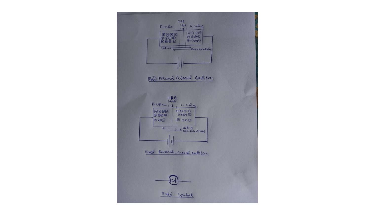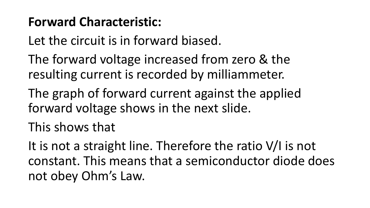#### **Forward Characteristic:**

Let the circuit is in forward biased.

- The forward voltage increased from zero & the resulting current is recorded by milliammeter.
- The graph of forward current against the applied forward voltage shows in the next slide.

This shows that

It is not a straight line. Therefore the ratio V/I is not constant. This means that a semiconductor diode does not obey Ohm's Law.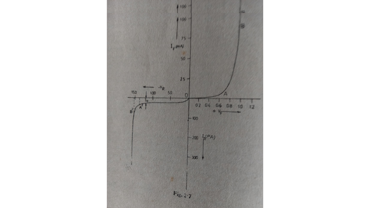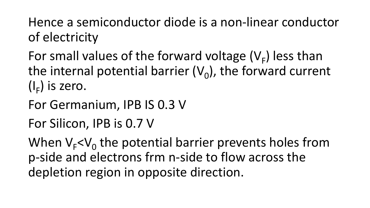Hence a semiconductor diode is a non-linear conductor of electricity

For small values of the forward voltage  $(V_F)$  less than the internal potential barrier  $(V_0)$ , the forward current  $(I_F)$  is zero.

For Germanium, IPB IS 0.3 V

For Silicon, IPB is 0.7 V

When  $V_F$ < $V_0$  the potential barrier prevents holes from p-side and electrons frm n-side to flow across the depletion region in opposite direction.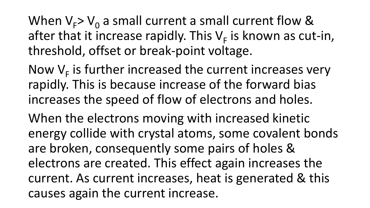When  $V_F$ >  $V_0$  a small current a small current flow & after that it increase rapidly. This  $V_F$  is known as cut-in, threshold, offset or break-point voltage.

Now  $V_F$  is further increased the current increases very rapidly. This is because increase of the forward bias increases the speed of flow of electrons and holes.

When the electrons moving with increased kinetic energy collide with crystal atoms, some covalent bonds are broken, consequently some pairs of holes & electrons are created. This effect again increases the current. As current increases, heat is generated & this causes again the current increase.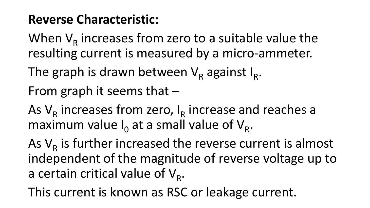#### **Reverse Characteristic:**

When  $V_R$  increases from zero to a suitable value the resulting current is measured by a micro-ammeter.

The graph is drawn between  $\mathsf{V}_{\mathsf{R}}$  against  $\mathsf{I}_{\mathsf{R}}$ .

From graph it seems that –

As  $V_R$  increases from zero,  $I_R$  increase and reaches a maximum value  $I_0$  at a small value of  $V_R$ .

As  $V_R$  is further increased the reverse current is almost independent of the magnitude of reverse voltage up to a certain critical value of  $V_{R}$ .

This current is known as RSC or leakage current.